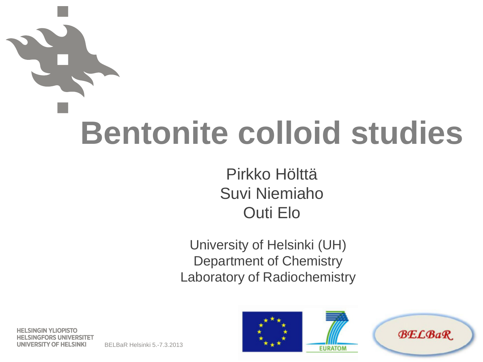# **Bentonite colloid studies**

#### Pirkko Hölttä Suvi Niemiaho Outi Elo

University of Helsinki (UH) Department of Chemistry Laboratory of Radiochemistry

**HELSINGIN YLIOPISTO NGFORS UNIVERSITET UNIVERSITY OF HELSINKI** 

BELBaR Helsinki 5.-7.3.2013



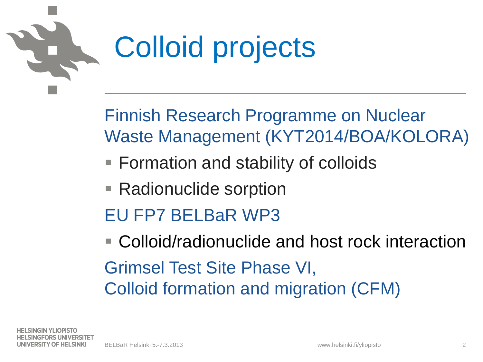

#### Colloid projects

Finnish Research Programme on Nuclear Waste Management (KYT2014/BOA/KOLORA)

- Formation and stability of colloids
- Radionuclide sorption
- EU FP7 BELBaR WP3

■ Colloid/radionuclide and host rock interaction Grimsel Test Site Phase VI, Colloid formation and migration (CFM)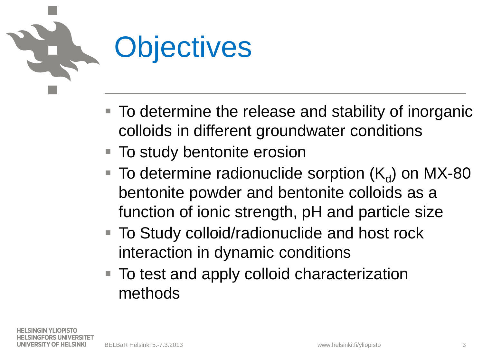

- To determine the release and stability of inorganic colloids in different groundwater conditions
- To study bentonite erosion
- $\blacksquare$  To determine radionuclide sorption (K<sub>d</sub>) on MX-80 bentonite powder and bentonite colloids as a function of ionic strength, pH and particle size
- To Study colloid/radionuclide and host rock interaction in dynamic conditions
- To test and apply colloid characterization methods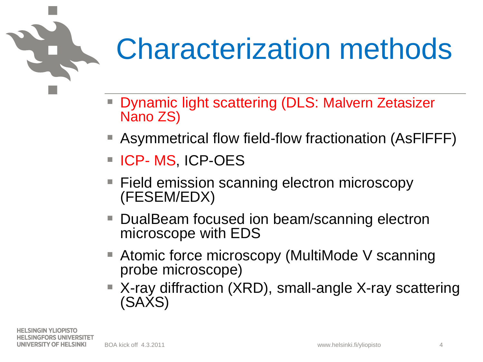#### Characterization methods

- Dynamic light scattering (DLS: Malvern Zetasizer Nano ZS)
- Asymmetrical flow field-flow fractionation (AsFIFFF)
- **ICP-MS, ICP-OES**
- Field emission scanning electron microscopy (FESEM/EDX)
- DualBeam focused ion beam/scanning electron microscope with EDS
- Atomic force microscopy (MultiMode V scanning probe microscope)
- X-ray diffraction (XRD), small-angle X-ray scattering (SAXS)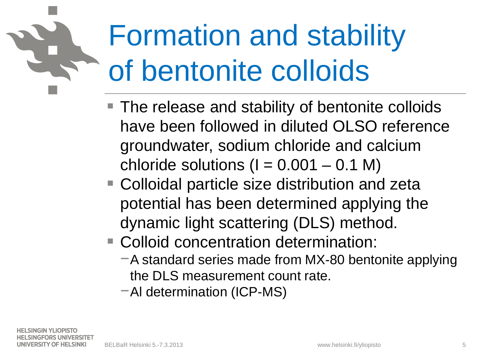#### Formation and stability of bentonite colloids

- The release and stability of bentonite colloids have been followed in diluted OLSO reference groundwater, sodium chloride and calcium chloride solutions  $(I = 0.001 - 0.1 M)$
- Colloidal particle size distribution and zeta potential has been determined applying the dynamic light scattering (DLS) method.
- Colloid concentration determination:
	- −A standard series made from MX-80 bentonite applying the DLS measurement count rate.

−Al determination (ICP-MS)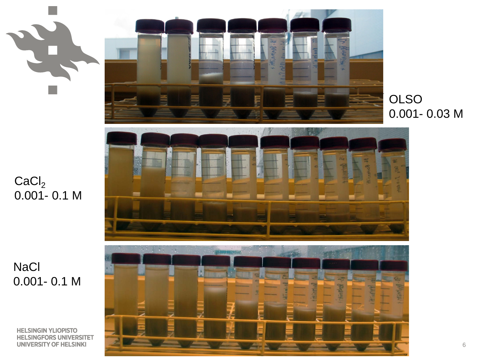$CaCl<sub>2</sub>$ 0.001- 0.1 M

**NaCl** 0.001- 0.1 M

**HELSINGIN YLIOPISTO HELSINGFORS UNIVERSITET UNIVERSITY OF HELSINKI** 







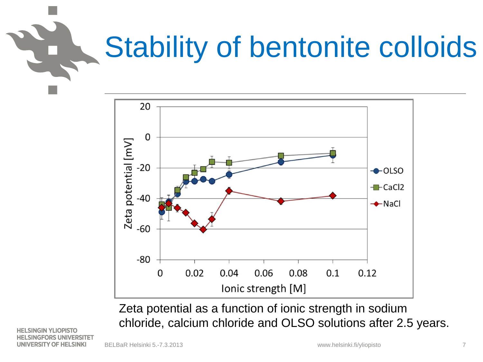### Stability of bentonite colloids



Zeta potential as a function of ionic strength in sodium chloride, calcium chloride and OLSO solutions after 2.5 years.

**HELSINGIN YLIOPISTO** NGFORS UNIVERSITET UNIVERSITY OF HELSINKI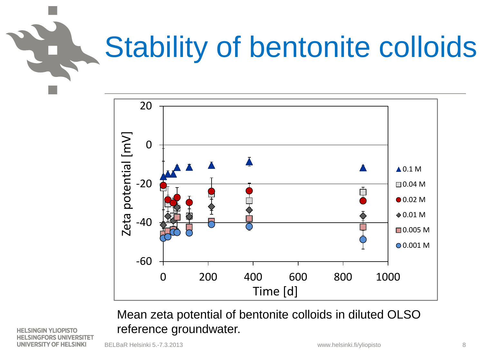#### Stability of bentonite colloids



Mean zeta potential of bentonite colloids in diluted OLSO reference groundwater.

**HELSINGIN YLIOPISTO** SINGFORS UNIVERSITET **UNIVERSITY OF HELSINKI**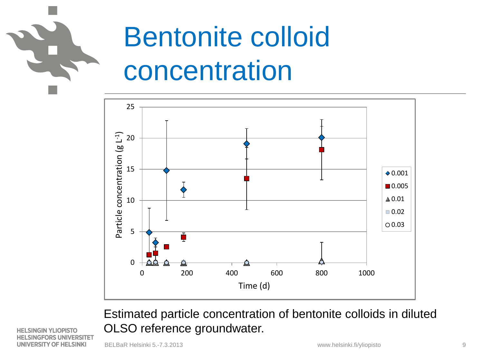

#### Bentonite colloid concentration



Estimated particle concentration of bentonite colloids in diluted OLSO reference groundwater.

**HELSINGIN YLIOPISTO NGFORS UNIVERSITET UNIVERSITY OF HELSINKI** 

BELBaR Helsinki 5.-7.3.2013 www.helsinki.fi/yliopisto 9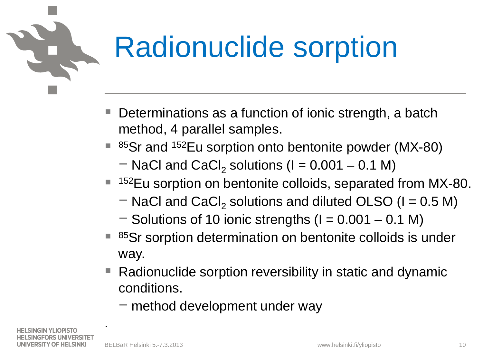

#### Radionuclide sorption

- Determinations as a function of ionic strength, a batch method, 4 parallel samples.
- $85$ Sr and  $152$ Eu sorption onto bentonite powder (MX-80)
	- $-$  NaCl and CaCl<sub>2</sub> solutions (I = 0.001 0.1 M)
- <sup>152</sup>Eu sorption on bentonite colloids, separated from MX-80.
	- $-$  NaCl and CaCl<sub>2</sub> solutions and diluted OLSO (I = 0.5 M)
	- $-$  Solutions of 10 ionic strengths (I = 0.001 0.1 M)
- 85Sr sorption determination on bentonite colloids is under way.
- Radionuclide sorption reversibility in static and dynamic conditions.
	- − method development under way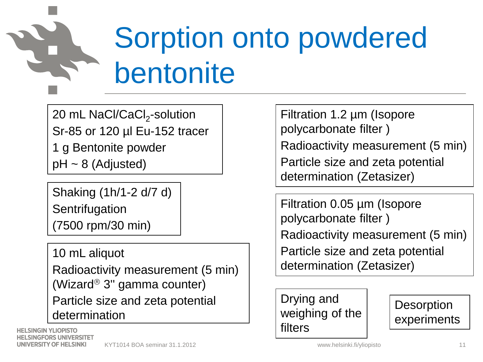

#### Sorption onto powdered bentonite

20 mL NaCl/CaCl<sub>2</sub>-solution Sr-85 or 120 µl Eu-152 tracer 1 g Bentonite powder  $pH \sim 8$  (Adjusted)

Shaking (1h/1-2 d/7 d) **Sentrifugation** (7500 rpm/30 min)

10 mL aliquot Radioactivity measurement (5 min) (Wizard<sup>®</sup> 3" gamma counter) Particle size and zeta potential determination

**HELSINGIN YLIOPISTO NGFORS UNIVERSITET** UNIVERSITY OF HELSINKI KYT1014 BOA seminar 31.1.2012 **11 Accord 12 Accord 12 Accord 12 Accord 12 Accord 12 Accord 12 Accord 12 Accord 11** 

Filtration 1.2 µm (Isopore polycarbonate filter )

Radioactivity measurement (5 min) Particle size and zeta potential determination (Zetasizer)

Filtration 0.05 µm (Isopore polycarbonate filter ) Radioactivity measurement (5 min) Particle size and zeta potential determination (Zetasizer)

Drying and weighing of the filters

**Desorption** experiments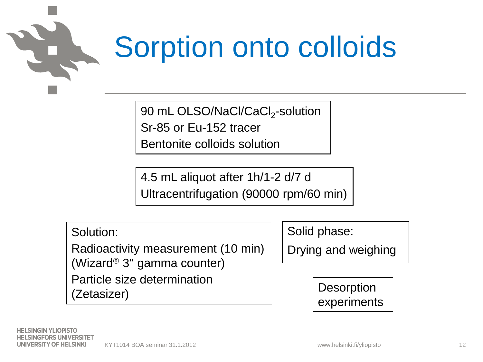

#### Sorption onto colloids

90 mL OLSO/NaCl/CaCl<sub>2</sub>-solution

Sr-85 or Eu-152 tracer

Bentonite colloids solution

4.5 mL aliquot after 1h/1-2 d/7 d Ultracentrifugation (90000 rpm/60 min)

Solution:

Radioactivity measurement (10 min) (Wizard<sup>®</sup> 3" gamma counter) Particle size determination (Zetasizer)

Solid phase:

Drying and weighing

**Desorption** experiments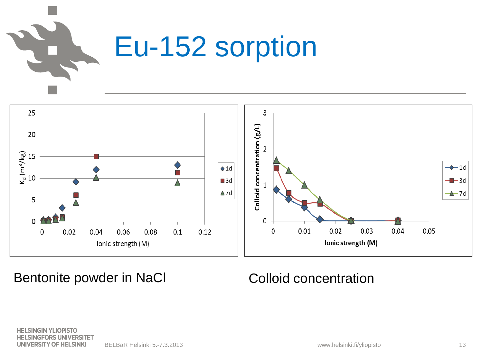



Bentonite powder in NaCl Colloid concentration

**HELSINGIN YLIOPISTO HELSINGFORS UNIVERSITET** UNIVERSITY OF HELSINKI BELBaR Helsinki 5.-7.3.2013 13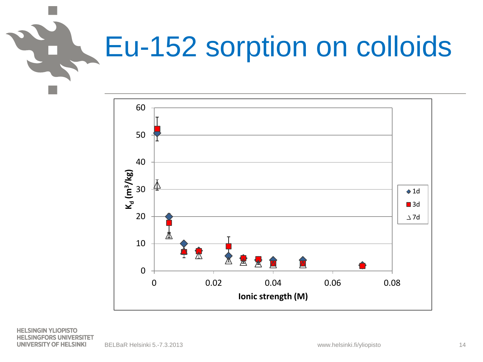

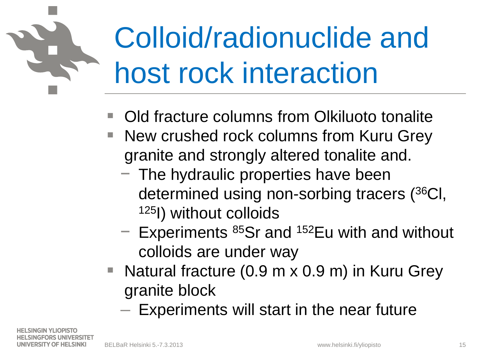## Colloid/radionuclide and host rock interaction

- Old fracture columns from Olkiluoto tonalite
- New crushed rock columns from Kuru Grey granite and strongly altered tonalite and.
	- − The hydraulic properties have been determined using non-sorbing tracers (36Cl, 125I) without colloids
	- − Experiments 85Sr and 152Eu with and without colloids are under way
- Natural fracture (0.9 m x 0.9 m) in Kuru Grey granite block
	- Experiments will start in the near future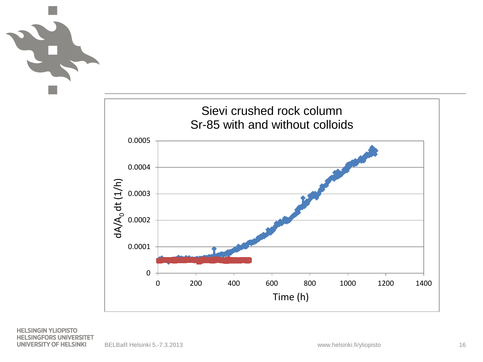

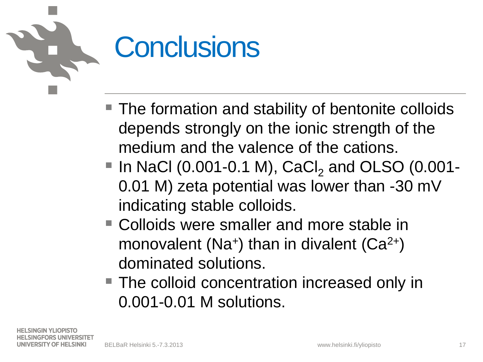#### **Conclusions**

- The formation and stability of bentonite colloids depends strongly on the ionic strength of the medium and the valence of the cations.
- $\blacksquare$  In NaCl (0.001-0.1 M), CaCl<sub>2</sub> and OLSO (0.001-0.01 M) zeta potential was lower than -30 mV indicating stable colloids.
- Colloids were smaller and more stable in monovalent (Na<sup>+</sup>) than in divalent (Ca<sup>2+</sup>) dominated solutions.
- The colloid concentration increased only in 0.001-0.01 M solutions.